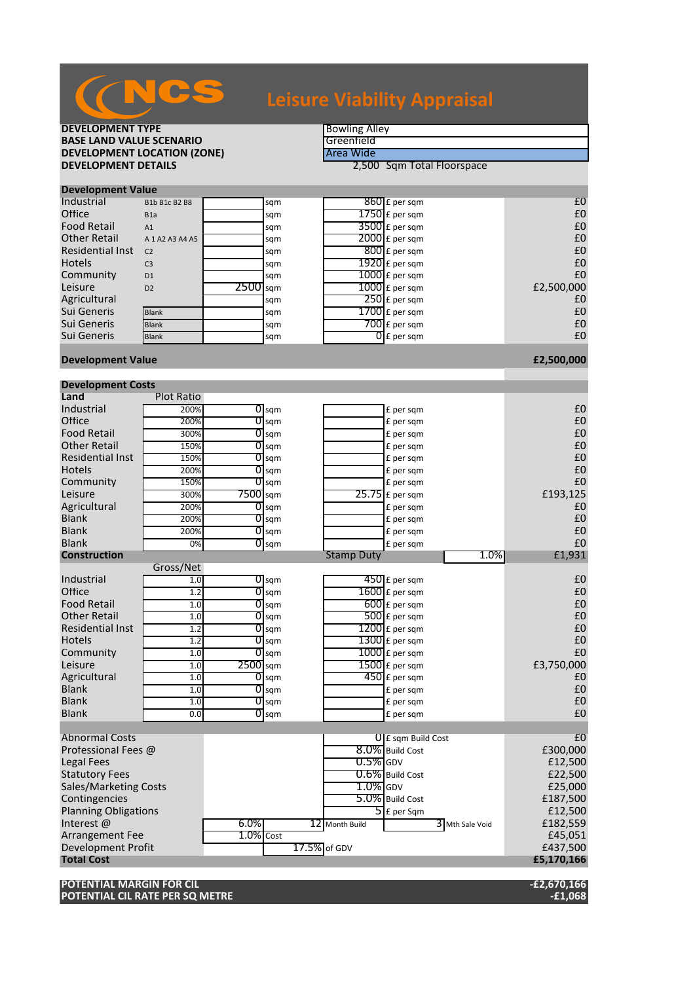| <b>DEVELOPMENT TYPE</b>                                  |                     |              |                    | <b>Bowling Alley</b> |                             |                 |                     |  |
|----------------------------------------------------------|---------------------|--------------|--------------------|----------------------|-----------------------------|-----------------|---------------------|--|
| <b>BASE LAND VALUE SCENARIO</b>                          |                     |              |                    | Greenfield           |                             |                 |                     |  |
| <b>DEVELOPMENT LOCATION (ZONE)</b>                       |                     |              |                    | Area Wide            |                             |                 |                     |  |
| <b>DEVELOPMENT DETAILS</b><br>2,500 Sqm Total Floorspace |                     |              |                    |                      |                             |                 |                     |  |
| <b>Development Value</b>                                 |                     |              |                    |                      |                             |                 |                     |  |
| Industrial                                               | B1b B1c B2 B8       |              | sqm                |                      | 860 £ per sqm               |                 | £0                  |  |
| Office                                                   | B <sub>1</sub> a    |              | sqm                |                      | $1750$ £ per sqm            |                 | £0                  |  |
| <b>Food Retail</b>                                       | A1                  |              | sqm                |                      | $3500$ £ per sqm            |                 | £0                  |  |
| <b>Other Retail</b>                                      | A 1 A 2 A 3 A 4 A 5 |              | sqm                |                      | $2000$ £ per sqm            |                 | £0                  |  |
| <b>Residential Inst</b>                                  | C <sub>2</sub>      |              | sqm                |                      | $\overline{800}$ £ per sqm  |                 | £0                  |  |
| <b>Hotels</b>                                            | C <sub>3</sub>      |              | sqm                |                      | $1920$ £ per sqm            |                 | £0                  |  |
| Community                                                | D <sub>1</sub>      |              | sqm                |                      | 1000 £ per sqm              |                 | £0                  |  |
| Leisure                                                  | D <sub>2</sub>      | 2500 sqm     |                    |                      | $1000$ $f$ per sqm          |                 | £2,500,000          |  |
| Agricultural                                             |                     |              | sqm                |                      | $250$ £ per sqm             |                 | £0                  |  |
| Sui Generis                                              | <b>Blank</b>        |              | sqm                |                      | $1700$ £ per sqm            |                 | £0                  |  |
| Sui Generis                                              | <b>Blank</b>        |              | sqm                |                      | $700$ £ per sqm             |                 | £0                  |  |
| Sui Generis                                              | <b>Blank</b>        |              | sqm                |                      | $\overline{0}$ £ per sqm    |                 | £0                  |  |
|                                                          |                     |              |                    |                      |                             |                 |                     |  |
| <b>Development Value</b>                                 |                     |              |                    |                      |                             |                 | £2,500,000          |  |
| <b>Development Costs</b>                                 |                     |              |                    |                      |                             |                 |                     |  |
| Land                                                     | <b>Plot Ratio</b>   |              |                    |                      |                             |                 |                     |  |
| Industrial                                               | 200%                |              | $\overline{O}$ sqm |                      | £ per sqm                   |                 | £0                  |  |
| Office                                                   | 200%                | 0            | sqm                |                      | £ per sqm                   |                 | £0                  |  |
| <b>Food Retail</b>                                       | 300%                |              | $0$ sqm            |                      | £ per sqm                   |                 | £0                  |  |
| <b>Other Retail</b>                                      | 150%                | 0            | sqm                |                      | £ per sqm                   |                 | £0                  |  |
| <b>Residential Inst</b>                                  | 150%                | 0            | sqm                |                      | £ per sqm                   |                 | £0                  |  |
| <b>Hotels</b>                                            | 200%                | 0            | sqm                |                      | £ per sqm                   |                 | £0                  |  |
| Community                                                | 150%                |              | $0$ sqm            |                      | £ per sqm                   |                 | £0                  |  |
| Leisure                                                  | 300%                | $7500$ sqm   |                    |                      | $25.75$ £ per sqm           |                 | £193,125            |  |
| Agricultural                                             | 200%                |              | $0$ sqm            |                      | £ per sqm                   |                 | £0                  |  |
| <b>Blank</b>                                             | 200%                | 0            | sqm                |                      | £ per sqm                   |                 | £0                  |  |
| <b>Blank</b>                                             | 200%                |              | $0$ sqm            |                      | £ per sqm                   |                 | £0                  |  |
| <b>Blank</b><br><b>Construction</b>                      | 0%                  | 0            | sqm                | <b>Stamp Duty</b>    | £ per sqm                   | 1.0%            | £0                  |  |
|                                                          | Gross/Net           |              |                    |                      |                             |                 | £1,931              |  |
| Industrial                                               | 1.0                 |              | $\overline{O}$ sqm |                      | $\overline{450}$ £ per sqm  |                 | £0                  |  |
| Office                                                   | 1.2                 | 0            | sqm                |                      | $1600$ £ per sqm            |                 | £0                  |  |
| <b>Food Retail</b>                                       | 1.0                 | 0            | sqm                |                      | $600$ £ per sqm             |                 | £0                  |  |
| <b>Other Retail</b>                                      | 1.0                 |              | $O$ sqm            |                      | $500$ £ per sqm             |                 | £0                  |  |
| <b>Residential Inst</b>                                  | 1.2                 |              | $\overline{O}$ sqm |                      | $1200$ £ per sqm            |                 | £0                  |  |
| <b>Hotels</b>                                            | 1.2                 |              | $\overline{O}$ sqm |                      | $\overline{1300}$ £ per sqm |                 | £0                  |  |
| Community                                                | 1.0                 |              | $\overline{O}$ sqm |                      | $1000$ £ per sqm            |                 | £0                  |  |
| Leisure                                                  | 1.0                 | 2500 sqm     |                    |                      | $1500$ £ per sqm            |                 | £3,750,000          |  |
| Agricultural                                             | 1.0                 |              | $\overline{0}$ sqm |                      | $450$ £ per sqm             |                 | £0                  |  |
| Blank                                                    | 1.0                 |              | $O$ sqm            |                      | £ per sqm                   |                 | £0                  |  |
| Blank                                                    | 1.0                 |              | $0$ sqm            |                      | £ per sqm                   |                 | £0                  |  |
| Blank                                                    | 0.0                 |              | $0$ sqm            |                      | £ per sqm                   |                 | £0                  |  |
|                                                          |                     |              |                    |                      |                             |                 |                     |  |
| <b>Abnormal Costs</b>                                    |                     |              |                    |                      | $0$ E sqm Build Cost        |                 | £0                  |  |
| Professional Fees @                                      |                     |              |                    |                      | 8.0% Build Cost             |                 | £300,000            |  |
| <b>Legal Fees</b>                                        |                     |              |                    | $0.5\%$ GDV          |                             |                 | £12,500             |  |
| <b>Statutory Fees</b>                                    |                     |              |                    |                      | 0.6% Build Cost             |                 | £22,500             |  |
| Sales/Marketing Costs                                    |                     |              |                    | $1.0\%$ GDV          |                             |                 | £25,000             |  |
| Contingencies                                            |                     |              |                    |                      | 5.0% Build Cost             |                 | £187,500            |  |
| <b>Planning Obligations</b>                              |                     | 6.0%         |                    |                      | 5 E per Sqm                 |                 | £12,500             |  |
| Interest @<br><b>Arrangement Fee</b>                     |                     | $1.0\%$ Cost |                    | 12 Month Build       |                             | 3 Mth Sale Void | £182,559<br>£45,051 |  |
| Development Profit                                       |                     |              |                    | 17.5% of GDV         |                             |                 | £437,500            |  |
| <b>Total Cost</b>                                        |                     |              |                    |                      |                             |                 | £5,170,166          |  |
|                                                          |                     |              |                    |                      |                             |                 |                     |  |
| POTENTIAL MARGIN FOR CIL                                 |                     |              |                    |                      |                             |                 | $-E2,670,166$       |  |
|                                                          |                     |              |                    |                      |                             |                 |                     |  |

**Leisure Viability Appraisal**

**POTENTIAL CIL RATE PER SQ METRE -£1,068**

**CNCS**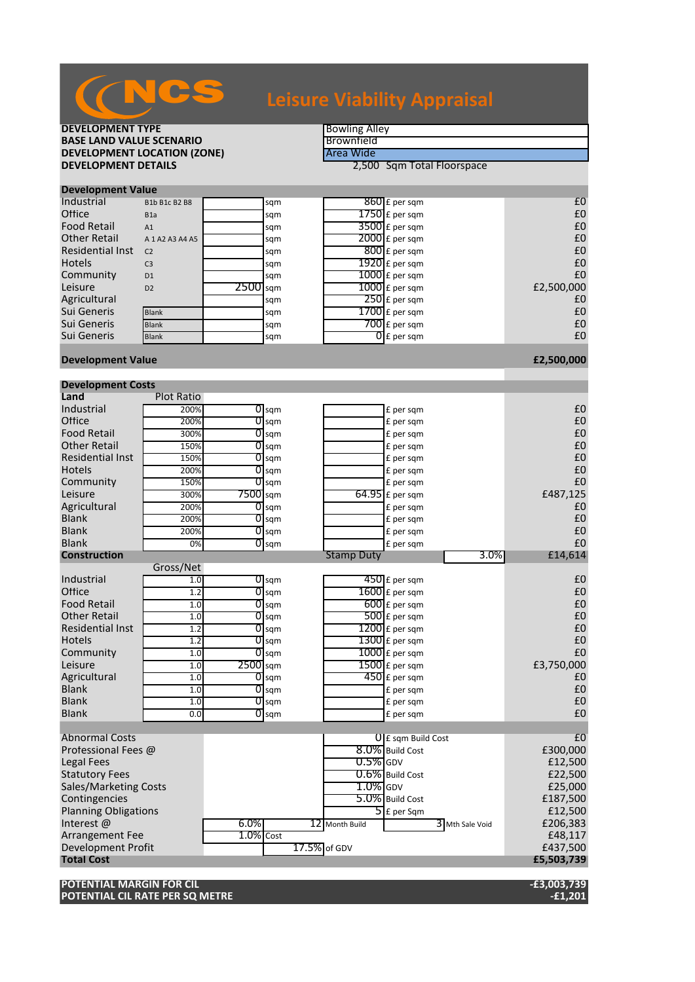| <b>DEVELOPMENT TYPE</b>            |                     |                            |                    | <b>Bowling Alley</b> |                             |                |  |  |
|------------------------------------|---------------------|----------------------------|--------------------|----------------------|-----------------------------|----------------|--|--|
| <b>BASE LAND VALUE SCENARIO</b>    |                     |                            |                    | Brownfield           |                             |                |  |  |
| <b>DEVELOPMENT LOCATION (ZONE)</b> |                     |                            |                    | Area Wide            |                             |                |  |  |
| <b>DEVELOPMENT DETAILS</b>         |                     | 2,500 Sqm Total Floorspace |                    |                      |                             |                |  |  |
| <b>Development Value</b>           |                     |                            |                    |                      |                             |                |  |  |
| Industrial                         | B1b B1c B2 B8       |                            | sqm                |                      | 860 £ per sqm               | £0             |  |  |
| Office                             | B <sub>1</sub> a    |                            | sqm                |                      | $1750$ £ per sqm            | £0             |  |  |
| <b>Food Retail</b>                 | A1                  |                            | sqm                |                      | 3500 £ per sqm              | £0             |  |  |
| <b>Other Retail</b>                | A 1 A 2 A 3 A 4 A 5 |                            | sqm                |                      | $2000$ £ per sqm            | £0             |  |  |
| <b>Residential Inst</b>            | C <sub>2</sub>      |                            | sqm                |                      | $800$ £ per sqm             | £0             |  |  |
| <b>Hotels</b>                      | C <sub>3</sub>      |                            | sqm                |                      | $1920$ £ per sqm            | £0             |  |  |
| Community                          | D <sub>1</sub>      |                            | sqm                |                      | $1000$ $f$ per sqm          | £0             |  |  |
| Leisure                            | D <sub>2</sub>      | $2500$ sqm                 |                    |                      | $1000$ $E$ per sqm          | £2,500,000     |  |  |
| Agricultural                       |                     |                            | sqm                |                      | $250$ £ per sqm             | £0             |  |  |
| Sui Generis                        | <b>Blank</b>        |                            | sqm                |                      | $1700$ £ per sqm            | £0             |  |  |
| Sui Generis                        | <b>Blank</b>        |                            | sqm                |                      | $700$ £ per sqm             | £0             |  |  |
| Sui Generis                        | <b>Blank</b>        |                            | sqm                |                      | $\overline{0}$ £ per sqm    | £0             |  |  |
| <b>Development Value</b>           |                     |                            |                    |                      |                             | £2,500,000     |  |  |
|                                    |                     |                            |                    |                      |                             |                |  |  |
| <b>Development Costs</b>           |                     |                            |                    |                      |                             |                |  |  |
| Land                               | <b>Plot Ratio</b>   |                            |                    |                      |                             |                |  |  |
| Industrial                         | 200%                |                            | $\overline{0}$ sqm |                      | £ per sqm                   | £0             |  |  |
| Office                             | 200%                | 0                          | sqm                |                      | £ per sqm                   | £0             |  |  |
| <b>Food Retail</b>                 | 300%                |                            | $\overline{0}$ sqm |                      | £ per sqm                   | £0             |  |  |
| <b>Other Retail</b>                | 150%                | 0                          | sqm                |                      | £ per sqm                   | £0             |  |  |
| <b>Residential Inst</b>            | 150%                | 0                          | sqm                |                      | £ per sqm                   | £0             |  |  |
| <b>Hotels</b>                      | 200%                | 0                          | sqm                |                      | £ per sqm                   | £0             |  |  |
| Community<br>Leisure               | 150%                | $7500$ sqm                 | $\overline{0}$ sqm |                      | £ per sqm                   | £0             |  |  |
|                                    | 300%                |                            |                    |                      | $64.95$ £ per sqm           | £487,125<br>£0 |  |  |
| Agricultural<br><b>Blank</b>       | 200%                | 0                          | sqm                |                      | £ per sqm                   | £0             |  |  |
| <b>Blank</b>                       | 200%<br>200%        | 0                          | sqm<br>$0$ sqm     |                      | £ per sqm<br>£ per sqm      | £0             |  |  |
| <b>Blank</b>                       | 0%                  | 0                          | sqm                |                      | £ per sqm                   | £0             |  |  |
| <b>Construction</b>                |                     |                            |                    | <b>Stamp Duty</b>    | 3.0%                        | £14,614        |  |  |
| Gross/Net                          |                     |                            |                    |                      |                             |                |  |  |
| Industrial                         | 1.0                 |                            | $\overline{O}$ sqm |                      | $\overline{450}$ £ per sqm  | £0             |  |  |
| Office                             | 1.2                 |                            | $0$ sqm            |                      | $1600$ $E$ per sqm          | £0             |  |  |
| <b>Food Retail</b>                 | 1.0                 |                            | $\overline{0}$ sqm |                      | $600$ £ per sqm             | £0             |  |  |
| <b>Other Retail</b>                | 1.0                 |                            | $O$ sqm            |                      | $500$ £ per sqm             | £0             |  |  |
| <b>Residential Inst</b>            | 1.2                 |                            | $\overline{O}$ sqm |                      | $1200$ £ per sqm            | £0             |  |  |
| <b>Hotels</b>                      | 1.2                 |                            | $\overline{0}$ sqm |                      | $\overline{1300}$ £ per sqm | f0             |  |  |
| Community                          | 1.0                 |                            | $\overline{O}$ sqm |                      | $1000$ £ per sqm            | £0             |  |  |
| Leisure                            | 1.0                 | $2500$ sqm                 |                    |                      | $1500$ £ per sqm            | £3,750,000     |  |  |
| Agricultural                       | 1.0                 |                            | $\overline{0}$ sqm |                      | $450$ £ per sqm             | £0             |  |  |
| Blank                              | 1.0                 |                            | $\overline{0}$ sqm |                      | £ per sqm                   | £0             |  |  |
| Blank                              | 1.0                 |                            | $O$ sqm            |                      | £ per sqm                   | £0             |  |  |
| Blank                              | 0.0                 |                            | $0$ sqm            |                      | £ per sqm                   | £0             |  |  |
| <b>Abnormal Costs</b>              |                     |                            |                    |                      | $\int$ E sqm Build Cost     | £0             |  |  |
| Professional Fees @                |                     |                            |                    |                      | 8.0% Build Cost             | £300,000       |  |  |
| <b>Legal Fees</b>                  |                     |                            |                    | $0.5\%$ GDV          |                             | £12,500        |  |  |
| <b>Statutory Fees</b>              |                     |                            |                    |                      | 0.6% Build Cost             | £22,500        |  |  |
| Sales/Marketing Costs              |                     |                            |                    | $1.0\%$ GDV          |                             | £25,000        |  |  |
| Contingencies                      |                     |                            |                    |                      | 5.0% Build Cost             | £187,500       |  |  |
| <b>Planning Obligations</b>        |                     |                            |                    |                      | $5$ E per Sqm               | £12,500        |  |  |
| Interest @                         |                     | $6.0\%$                    |                    | 12 Month Build       | 3 Mth Sale Void             | £206,383       |  |  |
| <b>Arrangement Fee</b>             |                     | $1.0\%$ Cost               |                    |                      |                             | £48,117        |  |  |
| Development Profit                 |                     |                            |                    | 17.5% of GDV         |                             | £437,500       |  |  |
| <b>Total Cost</b>                  |                     |                            |                    |                      |                             | £5,503,739     |  |  |
| <b>DOTENTIAL MARDCINLEOR</b>       |                     |                            |                    |                      |                             |                |  |  |

**POTENTIAL MARGIN FOR CIL -£3,003,739 POTENTIAL CIL RATE PER SQ METRE -£1,201**

## NCS **Leisure Viability Appraisal**